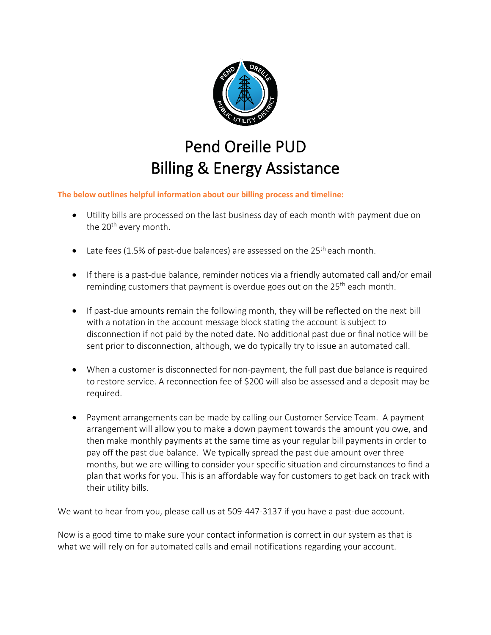

## Pend Oreille PUD Billing & Energy Assistance

**The below outlines helpful information about our billing process and timeline:**

- Utility bills are processed on the last business day of each month with payment due on the 20<sup>th</sup> every month.
- Late fees (1.5% of past-due balances) are assessed on the 25<sup>th</sup> each month.
- If there is a past-due balance, reminder notices via a friendly automated call and/or email reminding customers that payment is overdue goes out on the 25<sup>th</sup> each month.
- If past-due amounts remain the following month, they will be reflected on the next bill with a notation in the account message block stating the account is subject to disconnection if not paid by the noted date. No additional past due or final notice will be sent prior to disconnection, although, we do typically try to issue an automated call.
- When a customer is disconnected for non-payment, the full past due balance is required to restore service. A reconnection fee of \$200 will also be assessed and a deposit may be required.
- Payment arrangements can be made by calling our Customer Service Team. A payment arrangement will allow you to make a down payment towards the amount you owe, and then make monthly payments at the same time as your regular bill payments in order to pay off the past due balance. We typically spread the past due amount over three months, but we are willing to consider your specific situation and circumstances to find a plan that works for you. This is an affordable way for customers to get back on track with their utility bills.

We want to hear from you, please call us at 509-447-3137 if you have a past-due account.

Now is a good time to make sure your contact information is correct in our system as that is what we will rely on for automated calls and email notifications regarding your account.